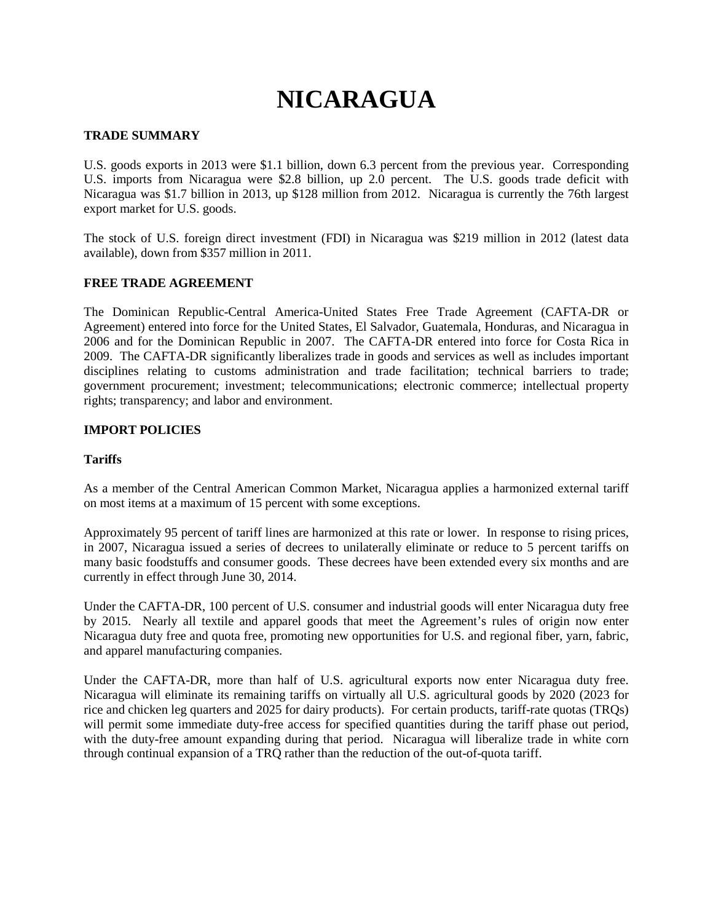# **NICARAGUA**

## **TRADE SUMMARY**

U.S. goods exports in 2013 were \$1.1 billion, down 6.3 percent from the previous year. Corresponding U.S. imports from Nicaragua were \$2.8 billion, up 2.0 percent. The U.S. goods trade deficit with Nicaragua was \$1.7 billion in 2013, up \$128 million from 2012. Nicaragua is currently the 76th largest export market for U.S. goods.

The stock of U.S. foreign direct investment (FDI) in Nicaragua was \$219 million in 2012 (latest data available), down from \$357 million in 2011.

## **FREE TRADE AGREEMENT**

The Dominican Republic-Central America-United States Free Trade Agreement (CAFTA-DR or Agreement) entered into force for the United States, El Salvador, Guatemala, Honduras, and Nicaragua in 2006 and for the Dominican Republic in 2007. The CAFTA-DR entered into force for Costa Rica in 2009. The CAFTA-DR significantly liberalizes trade in goods and services as well as includes important disciplines relating to customs administration and trade facilitation; technical barriers to trade; government procurement; investment; telecommunications; electronic commerce; intellectual property rights; transparency; and labor and environment.

## **IMPORT POLICIES**

#### **Tariffs**

As a member of the Central American Common Market, Nicaragua applies a harmonized external tariff on most items at a maximum of 15 percent with some exceptions.

Approximately 95 percent of tariff lines are harmonized at this rate or lower. In response to rising prices, in 2007, Nicaragua issued a series of decrees to unilaterally eliminate or reduce to 5 percent tariffs on many basic foodstuffs and consumer goods. These decrees have been extended every six months and are currently in effect through June 30, 2014.

Under the CAFTA-DR, 100 percent of U.S. consumer and industrial goods will enter Nicaragua duty free by 2015. Nearly all textile and apparel goods that meet the Agreement's rules of origin now enter Nicaragua duty free and quota free, promoting new opportunities for U.S. and regional fiber, yarn, fabric, and apparel manufacturing companies.

Under the CAFTA-DR, more than half of U.S. agricultural exports now enter Nicaragua duty free. Nicaragua will eliminate its remaining tariffs on virtually all U.S. agricultural goods by 2020 (2023 for rice and chicken leg quarters and 2025 for dairy products). For certain products, tariff-rate quotas (TRQs) will permit some immediate duty-free access for specified quantities during the tariff phase out period, with the duty-free amount expanding during that period. Nicaragua will liberalize trade in white corn through continual expansion of a TRQ rather than the reduction of the out-of-quota tariff.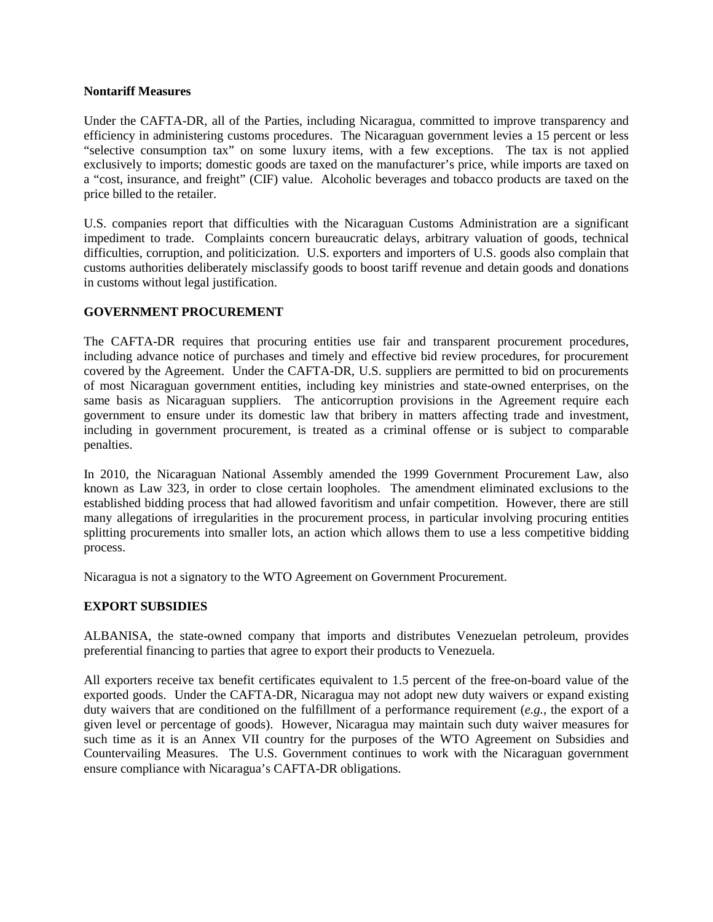#### **Nontariff Measures**

Under the CAFTA-DR, all of the Parties, including Nicaragua, committed to improve transparency and efficiency in administering customs procedures. The Nicaraguan government levies a 15 percent or less "selective consumption tax" on some luxury items, with a few exceptions. The tax is not applied exclusively to imports; domestic goods are taxed on the manufacturer's price, while imports are taxed on a "cost, insurance, and freight" (CIF) value. Alcoholic beverages and tobacco products are taxed on the price billed to the retailer.

U.S. companies report that difficulties with the Nicaraguan Customs Administration are a significant impediment to trade. Complaints concern bureaucratic delays, arbitrary valuation of goods, technical difficulties, corruption, and politicization. U.S. exporters and importers of U.S. goods also complain that customs authorities deliberately misclassify goods to boost tariff revenue and detain goods and donations in customs without legal justification.

## **GOVERNMENT PROCUREMENT**

The CAFTA-DR requires that procuring entities use fair and transparent procurement procedures, including advance notice of purchases and timely and effective bid review procedures, for procurement covered by the Agreement. Under the CAFTA-DR, U.S. suppliers are permitted to bid on procurements of most Nicaraguan government entities, including key ministries and state-owned enterprises, on the same basis as Nicaraguan suppliers. The anticorruption provisions in the Agreement require each government to ensure under its domestic law that bribery in matters affecting trade and investment, including in government procurement, is treated as a criminal offense or is subject to comparable penalties.

In 2010, the Nicaraguan National Assembly amended the 1999 Government Procurement Law, also known as Law 323, in order to close certain loopholes. The amendment eliminated exclusions to the established bidding process that had allowed favoritism and unfair competition. However, there are still many allegations of irregularities in the procurement process, in particular involving procuring entities splitting procurements into smaller lots, an action which allows them to use a less competitive bidding process.

Nicaragua is not a signatory to the WTO Agreement on Government Procurement.

## **EXPORT SUBSIDIES**

ALBANISA, the state-owned company that imports and distributes Venezuelan petroleum, provides preferential financing to parties that agree to export their products to Venezuela.

All exporters receive tax benefit certificates equivalent to 1.5 percent of the free-on-board value of the exported goods. Under the CAFTA-DR, Nicaragua may not adopt new duty waivers or expand existing duty waivers that are conditioned on the fulfillment of a performance requirement (*e.g.*, the export of a given level or percentage of goods). However, Nicaragua may maintain such duty waiver measures for such time as it is an Annex VII country for the purposes of the WTO Agreement on Subsidies and Countervailing Measures. The U.S. Government continues to work with the Nicaraguan government ensure compliance with Nicaragua's CAFTA-DR obligations.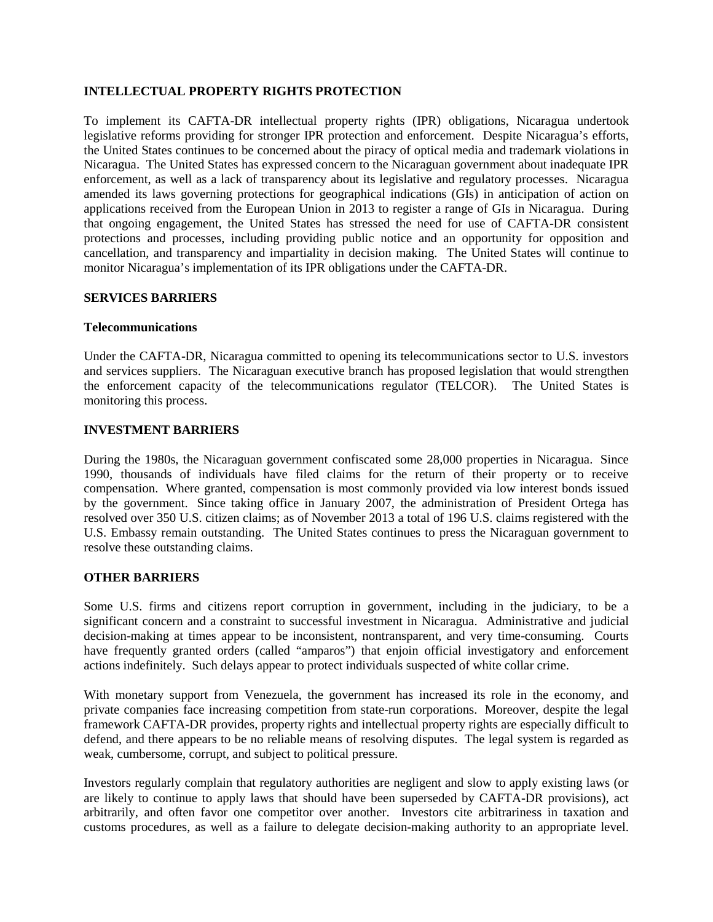## **INTELLECTUAL PROPERTY RIGHTS PROTECTION**

To implement its CAFTA-DR intellectual property rights (IPR) obligations, Nicaragua undertook legislative reforms providing for stronger IPR protection and enforcement. Despite Nicaragua's efforts, the United States continues to be concerned about the piracy of optical media and trademark violations in Nicaragua. The United States has expressed concern to the Nicaraguan government about inadequate IPR enforcement, as well as a lack of transparency about its legislative and regulatory processes. Nicaragua amended its laws governing protections for geographical indications (GIs) in anticipation of action on applications received from the European Union in 2013 to register a range of GIs in Nicaragua. During that ongoing engagement, the United States has stressed the need for use of CAFTA-DR consistent protections and processes, including providing public notice and an opportunity for opposition and cancellation, and transparency and impartiality in decision making. The United States will continue to monitor Nicaragua's implementation of its IPR obligations under the CAFTA-DR.

## **SERVICES BARRIERS**

#### **Telecommunications**

Under the CAFTA-DR, Nicaragua committed to opening its telecommunications sector to U.S. investors and services suppliers. The Nicaraguan executive branch has proposed legislation that would strengthen the enforcement capacity of the telecommunications regulator (TELCOR). The United States is monitoring this process.

## **INVESTMENT BARRIERS**

During the 1980s, the Nicaraguan government confiscated some 28,000 properties in Nicaragua. Since 1990, thousands of individuals have filed claims for the return of their property or to receive compensation. Where granted, compensation is most commonly provided via low interest bonds issued by the government. Since taking office in January 2007, the administration of President Ortega has resolved over 350 U.S. citizen claims; as of November 2013 a total of 196 U.S. claims registered with the U.S. Embassy remain outstanding. The United States continues to press the Nicaraguan government to resolve these outstanding claims.

## **OTHER BARRIERS**

Some U.S. firms and citizens report corruption in government, including in the judiciary, to be a significant concern and a constraint to successful investment in Nicaragua. Administrative and judicial decision-making at times appear to be inconsistent, nontransparent, and very time-consuming. Courts have frequently granted orders (called "amparos") that enjoin official investigatory and enforcement actions indefinitely. Such delays appear to protect individuals suspected of white collar crime.

With monetary support from Venezuela, the government has increased its role in the economy, and private companies face increasing competition from state-run corporations. Moreover, despite the legal framework CAFTA-DR provides, property rights and intellectual property rights are especially difficult to defend, and there appears to be no reliable means of resolving disputes. The legal system is regarded as weak, cumbersome, corrupt, and subject to political pressure.

Investors regularly complain that regulatory authorities are negligent and slow to apply existing laws (or are likely to continue to apply laws that should have been superseded by CAFTA-DR provisions), act arbitrarily, and often favor one competitor over another. Investors cite arbitrariness in taxation and customs procedures, as well as a failure to delegate decision-making authority to an appropriate level.